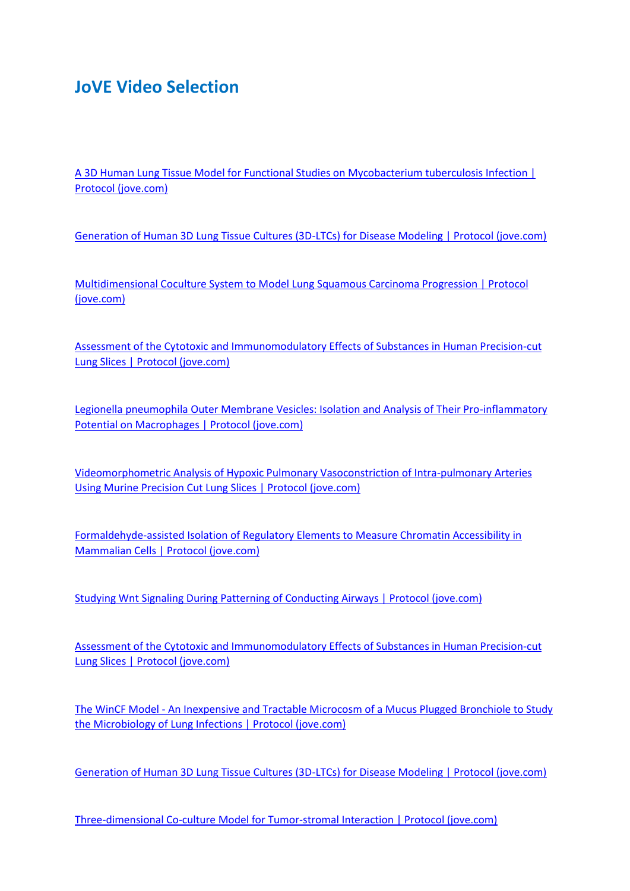## **JoVE Video Selection**

[A 3D Human Lung Tissue Model for Functional Studies on Mycobacterium tuberculosis Infection |](https://www.jove.com/de/t/53084/a-3d-human-lung-tissue-model-for-functional-studies-on-mycobacterium)  [Protocol \(jove.com\)](https://www.jove.com/de/t/53084/a-3d-human-lung-tissue-model-for-functional-studies-on-mycobacterium)

[Generation of Human 3D Lung Tissue Cultures \(3D-LTCs\) for Disease Modeling | Protocol \(jove.com\)](https://www.jove.com/de/t/58437/generation-human-3d-lung-tissue-cultures-3d-ltcs-for-disease)

[Multidimensional Coculture System to Model Lung Squamous Carcinoma Progression | Protocol](https://www.jove.com/de/t/60644/multidimensional-coculture-system-to-model-lung-squamous-carcinoma)  [\(jove.com\)](https://www.jove.com/de/t/60644/multidimensional-coculture-system-to-model-lung-squamous-carcinoma)

[Assessment of the Cytotoxic and Immunomodulatory Effects of Substances in Human Precision-cut](https://www.jove.com/de/t/57042/assessment-cytotoxic-immunomodulatory-effects-substances-human)  [Lung Slices | Protocol \(jove.com\)](https://www.jove.com/de/t/57042/assessment-cytotoxic-immunomodulatory-effects-substances-human)

[Legionella pneumophila Outer Membrane Vesicles: Isolation and Analysis of Their Pro-inflammatory](https://www.jove.com/de/t/55146/legionella-pneumophila-outer-membrane-vesicles-isolation-analysis)  [Potential on Macrophages | Protocol \(jove.com\)](https://www.jove.com/de/t/55146/legionella-pneumophila-outer-membrane-vesicles-isolation-analysis)

[Videomorphometric Analysis of Hypoxic Pulmonary Vasoconstriction of Intra-pulmonary Arteries](https://www.jove.com/de/t/50970/videomorphometric-analysis-hypoxic-pulmonary-vasoconstriction-intra)  [Using Murine Precision Cut Lung Slices | Protocol \(jove.com\)](https://www.jove.com/de/t/50970/videomorphometric-analysis-hypoxic-pulmonary-vasoconstriction-intra)

[Formaldehyde-assisted Isolation of Regulatory Elements to Measure Chromatin Accessibility in](https://www.jove.com/de/t/57272/formaldehyde-assisted-isolation-regulatory-elements-to-measure)  [Mammalian Cells | Protocol \(jove.com\)](https://www.jove.com/de/t/57272/formaldehyde-assisted-isolation-regulatory-elements-to-measure)

[Studying Wnt Signaling During Patterning of Conducting Airways | Protocol \(jove.com\)](https://www.jove.com/de/v/53910/studying-wnt-signaling-during-patterning-of-conducting-airways)

[Assessment of the Cytotoxic and Immunomodulatory Effects of Substances in Human Precision-cut](https://www.jove.com/de/v/57042/assessment-cytotoxic-immunomodulatory-effects-substances-human)  [Lung Slices | Protocol \(jove.com\)](https://www.jove.com/de/v/57042/assessment-cytotoxic-immunomodulatory-effects-substances-human)

The WinCF Model - [An Inexpensive and Tractable Microcosm of a Mucus Plugged Bronchiole to Study](https://www.jove.com/de/v/55532/the-wincf-model-an-inexpensive-tractable-microcosm-mucus-plugged)  [the Microbiology of Lung Infections | Protocol \(jove.com\)](https://www.jove.com/de/v/55532/the-wincf-model-an-inexpensive-tractable-microcosm-mucus-plugged)

[Generation of Human 3D Lung Tissue Cultures \(3D-LTCs\) for Disease Modeling | Protocol \(jove.com\)](https://www.jove.com/de/v/58437/generation-human-3d-lung-tissue-cultures-3d-ltcs-for-disease)

[Three-dimensional Co-culture Model for Tumor-stromal Interaction | Protocol \(jove.com\)](https://www.jove.com/de/v/52469/three-dimensional-co-culture-model-for-tumor-stromal-interaction)